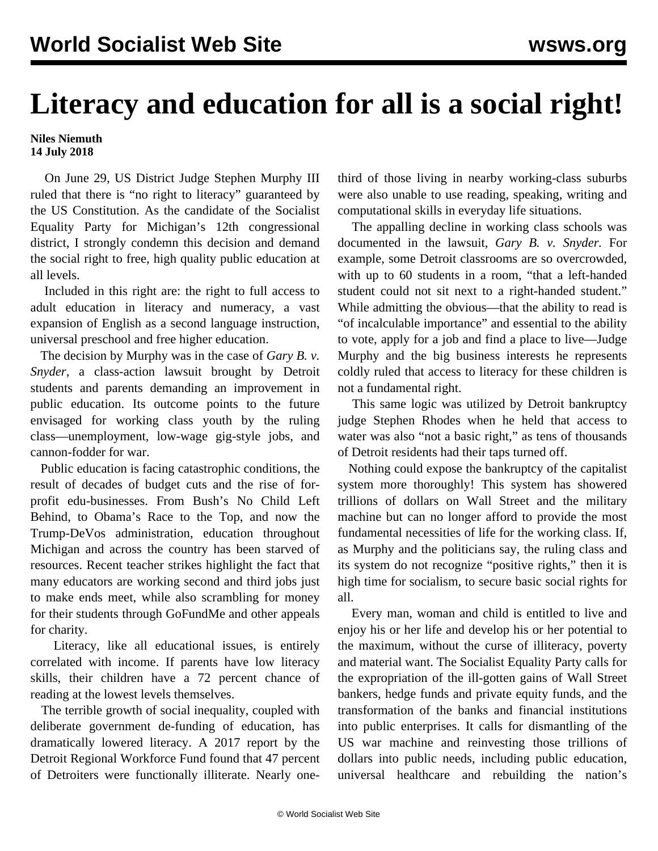## **Literacy and education for all is a social right!**

## **Niles Niemuth 14 July 2018**

 On June 29, US District Judge Stephen Murphy III ruled that there is "no right to literacy" guaranteed by the US Constitution. As the candidate of the Socialist Equality Party for Michigan's 12th congressional district, I strongly condemn this decision and demand the social right to free, high quality public education at all levels.

 Included in this right are: the right to full access to adult education in literacy and numeracy, a vast expansion of English as a second language instruction, universal preschool and free higher education.

 The decision by Murphy was in the case of *Gary B. v. Snyder,* a class-action lawsuit brought by Detroit students and parents demanding an improvement in public education. Its outcome points to the future envisaged for working class youth by the ruling class—unemployment, low-wage gig-style jobs, and cannon-fodder for war.

 Public education is facing catastrophic conditions, the result of decades of budget cuts and the rise of forprofit edu-businesses. From Bush's No Child Left Behind, to Obama's Race to the Top, and now the Trump-DeVos administration, education throughout Michigan and across the country has been starved of resources. Recent teacher strikes highlight the fact that many educators are working second and third jobs just to make ends meet, while also scrambling for money for their students through GoFundMe and other appeals for charity.

 Literacy, like all educational issues, is entirely correlated with income. If parents have low literacy skills, their children have a 72 percent chance of reading at the lowest levels themselves.

 The terrible growth of social inequality, coupled with deliberate government de-funding of education, has dramatically lowered literacy. A 2017 report by the Detroit Regional Workforce Fund found that 47 percent of Detroiters were functionally illiterate. Nearly onethird of those living in nearby working-class suburbs were also unable to use reading, speaking, writing and computational skills in everyday life situations.

 The appalling decline in working class schools was documented in the lawsuit, *Gary B. v. Snyder.* For example, some Detroit classrooms are so overcrowded, with up to 60 students in a room, "that a left-handed student could not sit next to a right-handed student." While admitting the obvious—that the ability to read is "of incalculable importance" and essential to the ability to vote, apply for a job and find a place to live—Judge Murphy and the big business interests he represents coldly ruled that access to literacy for these children is not a fundamental right.

 This same logic was utilized by Detroit bankruptcy judge Stephen Rhodes when he held that access to water was also "not a basic right," as tens of thousands of Detroit residents had their taps turned off.

 Nothing could expose the bankruptcy of the capitalist system more thoroughly! This system has showered trillions of dollars on Wall Street and the military machine but can no longer afford to provide the most fundamental necessities of life for the working class. If, as Murphy and the politicians say, the ruling class and its system do not recognize "positive rights," then it is high time for socialism, to secure basic social rights for all.

 Every man, woman and child is entitled to live and enjoy his or her life and develop his or her potential to the maximum, without the curse of illiteracy, poverty and material want. The Socialist Equality Party calls for the expropriation of the ill-gotten gains of Wall Street bankers, hedge funds and private equity funds, and the transformation of the banks and financial institutions into public enterprises. It calls for dismantling of the US war machine and reinvesting those trillions of dollars into public needs, including public education, universal healthcare and rebuilding the nation's